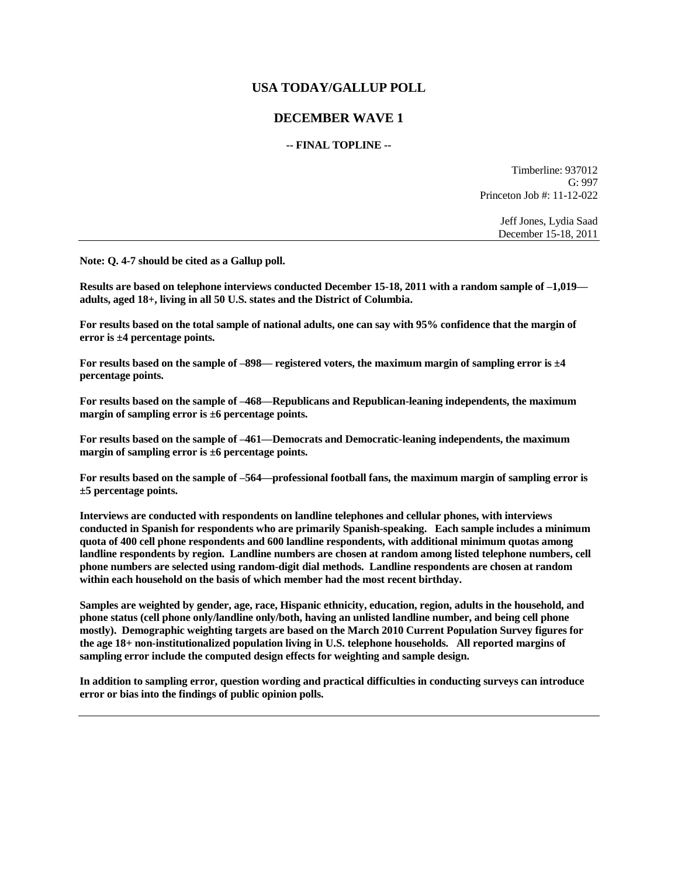# **USA TODAY/GALLUP POLL**

## **DECEMBER WAVE 1**

### **-- FINAL TOPLINE --**

Timberline: 937012 G: 997 Princeton Job #: 11-12-022

> Jeff Jones, Lydia Saad December 15-18, 2011

**Note: Q. 4-7 should be cited as a Gallup poll.** 

**Results are based on telephone interviews conducted December 15-18, 2011 with a random sample of –1,019 adults, aged 18+, living in all 50 U.S. states and the District of Columbia.** 

**For results based on the total sample of national adults, one can say with 95% confidence that the margin of error is ±4 percentage points.**

**For results based on the sample of –898— registered voters, the maximum margin of sampling error is ±4 percentage points.**

**For results based on the sample of –468—Republicans and Republican-leaning independents, the maximum margin of sampling error is ±6 percentage points.**

**For results based on the sample of –461—Democrats and Democratic-leaning independents, the maximum margin of sampling error is ±6 percentage points.**

**For results based on the sample of –564—professional football fans, the maximum margin of sampling error is ±5 percentage points.**

**Interviews are conducted with respondents on landline telephones and cellular phones, with interviews conducted in Spanish for respondents who are primarily Spanish-speaking. Each sample includes a minimum quota of 400 cell phone respondents and 600 landline respondents, with additional minimum quotas among landline respondents by region. Landline numbers are chosen at random among listed telephone numbers, cell phone numbers are selected using random-digit dial methods. Landline respondents are chosen at random within each household on the basis of which member had the most recent birthday.** 

**Samples are weighted by gender, age, race, Hispanic ethnicity, education, region, adults in the household, and phone status (cell phone only/landline only/both, having an unlisted landline number, and being cell phone mostly). Demographic weighting targets are based on the March 2010 Current Population Survey figures for the age 18+ non-institutionalized population living in U.S. telephone households. All reported margins of sampling error include the computed design effects for weighting and sample design.** 

**In addition to sampling error, question wording and practical difficulties in conducting surveys can introduce error or bias into the findings of public opinion polls.**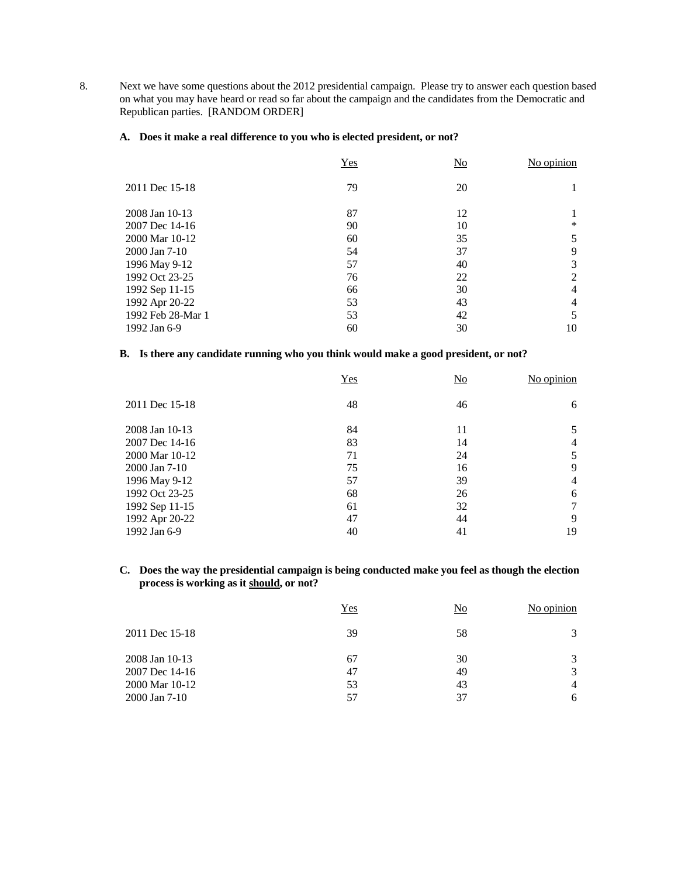8. Next we have some questions about the 2012 presidential campaign. Please try to answer each question based on what you may have heard or read so far about the campaign and the candidates from the Democratic and Republican parties. [RANDOM ORDER]

#### **A. Does it make a real difference to you who is elected president, or not?**

| No | No opinion     |
|----|----------------|
| 20 |                |
| 12 |                |
| 10 | *              |
| 35 | 5              |
| 37 | 9              |
| 40 | 3              |
| 22 | 2              |
| 30 | $\overline{4}$ |
| 43 | $\overline{4}$ |
| 42 | 5              |
| 30 | 10             |
|    |                |

### **B. Is there any candidate running who you think would make a good president, or not?**

|                | Yes | No | No opinion     |
|----------------|-----|----|----------------|
| 2011 Dec 15-18 | 48  | 46 | 6              |
| 2008 Jan 10-13 | 84  | 11 | 5              |
| 2007 Dec 14-16 | 83  | 14 | $\overline{4}$ |
| 2000 Mar 10-12 | 71  | 24 | 5              |
| 2000 Jan 7-10  | 75  | 16 | 9              |
| 1996 May 9-12  | 57  | 39 | $\overline{4}$ |
| 1992 Oct 23-25 | 68  | 26 | 6              |
| 1992 Sep 11-15 | 61  | 32 | 7              |
| 1992 Apr 20-22 | 47  | 44 | 9              |
| 1992 Jan 6-9   | 40  | 41 | 19             |

#### **C. Does the way the presidential campaign is being conducted make you feel as though the election process is working as it should, or not?**

|                | Yes | No | No opinion |
|----------------|-----|----|------------|
| 2011 Dec 15-18 | 39  | 58 | 3          |
| 2008 Jan 10-13 | 67  | 30 | 3          |
| 2007 Dec 14-16 | 47  | 49 | 3          |
| 2000 Mar 10-12 | 53  | 43 | 4          |
| 2000 Jan 7-10  | 57  | 37 | 6          |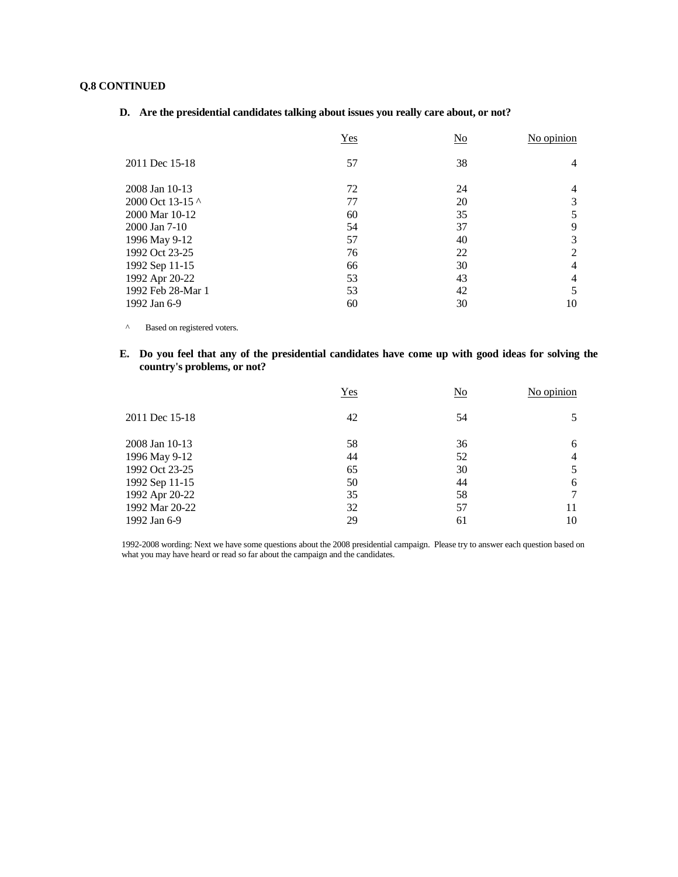## **Q.8 CONTINUED**

**D. Are the presidential candidates talking about issues you really care about, or not?**

|                   | Yes | No | No opinion     |
|-------------------|-----|----|----------------|
| 2011 Dec 15-18    | 57  | 38 | 4              |
| 2008 Jan 10-13    | 72  | 24 | 4              |
| 2000 Oct 13-15 ^  | 77  | 20 | 3              |
| 2000 Mar 10-12    | 60  | 35 | 5              |
| 2000 Jan 7-10     | 54  | 37 | 9              |
| 1996 May 9-12     | 57  | 40 | 3              |
| 1992 Oct 23-25    | 76  | 22 | 2              |
| 1992 Sep 11-15    | 66  | 30 | $\overline{4}$ |
| 1992 Apr 20-22    | 53  | 43 | $\overline{4}$ |
| 1992 Feb 28-Mar 1 | 53  | 42 | 5              |
| 1992 Jan 6-9      | 60  | 30 | 10             |

^ Based on registered voters.

**E. Do you feel that any of the presidential candidates have come up with good ideas for solving the country's problems, or not?**

|                | Yes | $\overline{\text{No}}$ | No opinion |
|----------------|-----|------------------------|------------|
| 2011 Dec 15-18 | 42  | 54                     |            |
| 2008 Jan 10-13 | 58  | 36                     | 6          |
| 1996 May 9-12  | 44  | 52                     | 4          |
| 1992 Oct 23-25 | 65  | 30                     |            |
| 1992 Sep 11-15 | 50  | 44                     | 6          |
| 1992 Apr 20-22 | 35  | 58                     |            |
| 1992 Mar 20-22 | 32  | 57                     | 11         |
| 1992 Jan 6-9   | 29  | 61                     | 10         |

 1992-2008 wording: Next we have some questions about the 2008 presidential campaign. Please try to answer each question based on what you may have heard or read so far about the campaign and the candidates.